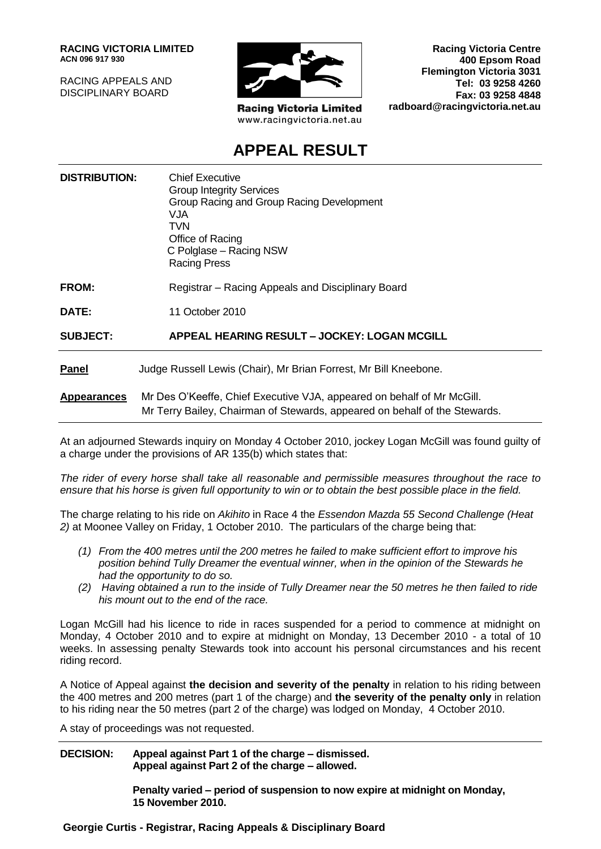**RACING VICTORIA LIMITED ACN 096 917 930**

RACING APPEALS AND DISCIPLINARY BOARD



**Racing Victoria Limited** www.racingvictoria.net.au

**Racing Victoria Centre 400 Epsom Road Flemington Victoria 3031 Tel: 03 9258 4260 Fax: 03 9258 4848 radboard@racingvictoria.net.au**

## **APPEAL RESULT**

|                                                                                                                                                                            | <b>DISTRIBUTION:</b> | <b>Chief Executive</b><br><b>Group Integrity Services</b><br>Group Racing and Group Racing Development<br>VJA.<br><b>TVN</b><br>Office of Racing<br>C Polglase – Racing NSW<br><b>Racing Press</b> |
|----------------------------------------------------------------------------------------------------------------------------------------------------------------------------|----------------------|----------------------------------------------------------------------------------------------------------------------------------------------------------------------------------------------------|
| FROM:<br>Registrar – Racing Appeals and Disciplinary Board                                                                                                                 |                      |                                                                                                                                                                                                    |
| 11 October 2010<br>DATE:                                                                                                                                                   |                      |                                                                                                                                                                                                    |
| APPEAL HEARING RESULT - JOCKEY: LOGAN MCGILL<br><b>SUBJECT:</b>                                                                                                            |                      |                                                                                                                                                                                                    |
| Judge Russell Lewis (Chair), Mr Brian Forrest, Mr Bill Kneebone.<br><b>Panel</b>                                                                                           |                      |                                                                                                                                                                                                    |
| Mr Des O'Keeffe, Chief Executive VJA, appeared on behalf of Mr McGill.<br><b>Appearances</b><br>Mr Terry Bailey, Chairman of Stewards, appeared on behalf of the Stewards. |                      |                                                                                                                                                                                                    |

At an adjourned Stewards inquiry on Monday 4 October 2010, jockey Logan McGill was found guilty of a charge under the provisions of AR 135(b) which states that:

*The rider of every horse shall take all reasonable and permissible measures throughout the race to ensure that his horse is given full opportunity to win or to obtain the best possible place in the field.*

The charge relating to his ride on *Akihito* in Race 4 the *Essendon Mazda 55 Second Challenge (Heat 2)* at Moonee Valley on Friday, 1 October 2010. The particulars of the charge being that:

- *(1) From the 400 metres until the 200 metres he failed to make sufficient effort to improve his position behind Tully Dreamer the eventual winner, when in the opinion of the Stewards he had the opportunity to do so.*
- *(2) Having obtained a run to the inside of Tully Dreamer near the 50 metres he then failed to ride his mount out to the end of the race.*

Logan McGill had his licence to ride in races suspended for a period to commence at midnight on Monday, 4 October 2010 and to expire at midnight on Monday, 13 December 2010 - a total of 10 weeks. In assessing penalty Stewards took into account his personal circumstances and his recent riding record.

A Notice of Appeal against **the decision and severity of the penalty** in relation to his riding between the 400 metres and 200 metres (part 1 of the charge) and **the severity of the penalty only** in relation to his riding near the 50 metres (part 2 of the charge) was lodged on Monday, 4 October 2010.

A stay of proceedings was not requested.

**DECISION: Appeal against Part 1 of the charge – dismissed. Appeal against Part 2 of the charge – allowed.**

> **Penalty varied – period of suspension to now expire at midnight on Monday, 15 November 2010.**

**Georgie Curtis - Registrar, Racing Appeals & Disciplinary Board**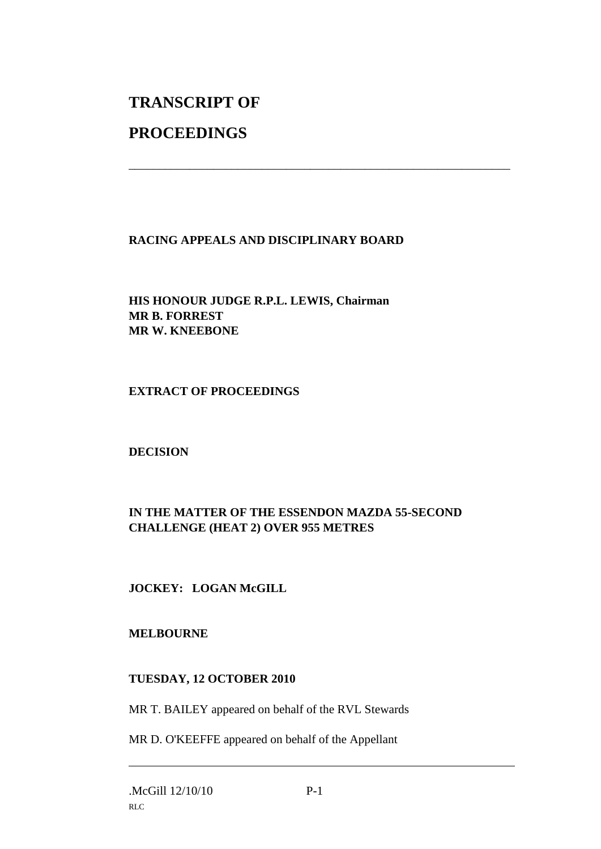# **TRANSCRIPT OF**

# **PROCEEDINGS**

## **RACING APPEALS AND DISCIPLINARY BOARD**

\_\_\_\_\_\_\_\_\_\_\_\_\_\_\_\_\_\_\_\_\_\_\_\_\_\_\_\_\_\_\_\_\_\_\_\_\_\_\_\_\_\_\_\_\_\_\_\_\_\_\_\_\_\_\_\_\_\_\_\_\_\_\_

**HIS HONOUR JUDGE R.P.L. LEWIS, Chairman MR B. FORREST MR W. KNEEBONE**

#### **EXTRACT OF PROCEEDINGS**

#### **DECISION**

## **IN THE MATTER OF THE ESSENDON MAZDA 55-SECOND CHALLENGE (HEAT 2) OVER 955 METRES**

## **JOCKEY: LOGAN McGILL**

#### **MELBOURNE**

#### **TUESDAY, 12 OCTOBER 2010**

MR T. BAILEY appeared on behalf of the RVL Stewards

MR D. O'KEEFFE appeared on behalf of the Appellant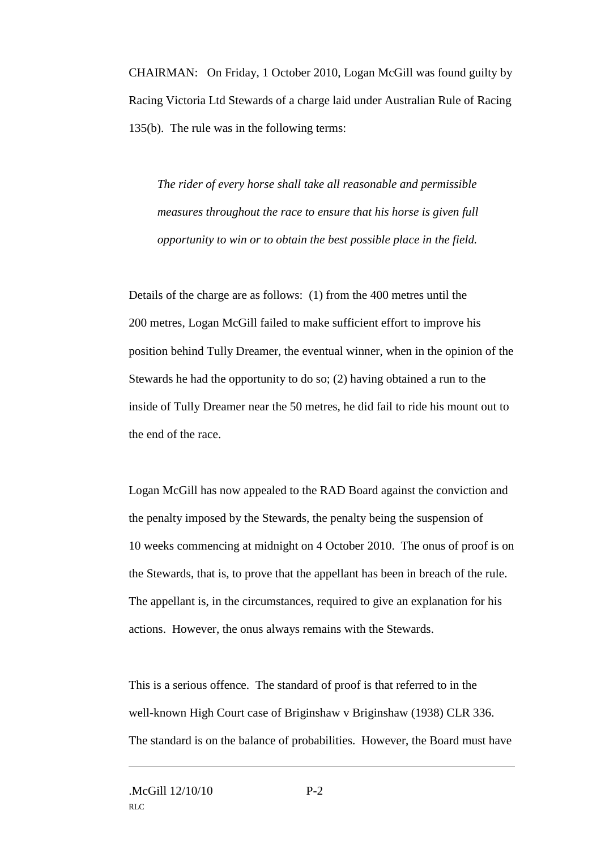CHAIRMAN: On Friday, 1 October 2010, Logan McGill was found guilty by Racing Victoria Ltd Stewards of a charge laid under Australian Rule of Racing 135(b). The rule was in the following terms:

*The rider of every horse shall take all reasonable and permissible measures throughout the race to ensure that his horse is given full opportunity to win or to obtain the best possible place in the field.*

Details of the charge are as follows: (1) from the 400 metres until the 200 metres, Logan McGill failed to make sufficient effort to improve his position behind Tully Dreamer, the eventual winner, when in the opinion of the Stewards he had the opportunity to do so; (2) having obtained a run to the inside of Tully Dreamer near the 50 metres, he did fail to ride his mount out to the end of the race.

Logan McGill has now appealed to the RAD Board against the conviction and the penalty imposed by the Stewards, the penalty being the suspension of 10 weeks commencing at midnight on 4 October 2010. The onus of proof is on the Stewards, that is, to prove that the appellant has been in breach of the rule. The appellant is, in the circumstances, required to give an explanation for his actions. However, the onus always remains with the Stewards.

This is a serious offence. The standard of proof is that referred to in the well-known High Court case of Briginshaw v Briginshaw (1938) CLR 336. The standard is on the balance of probabilities. However, the Board must have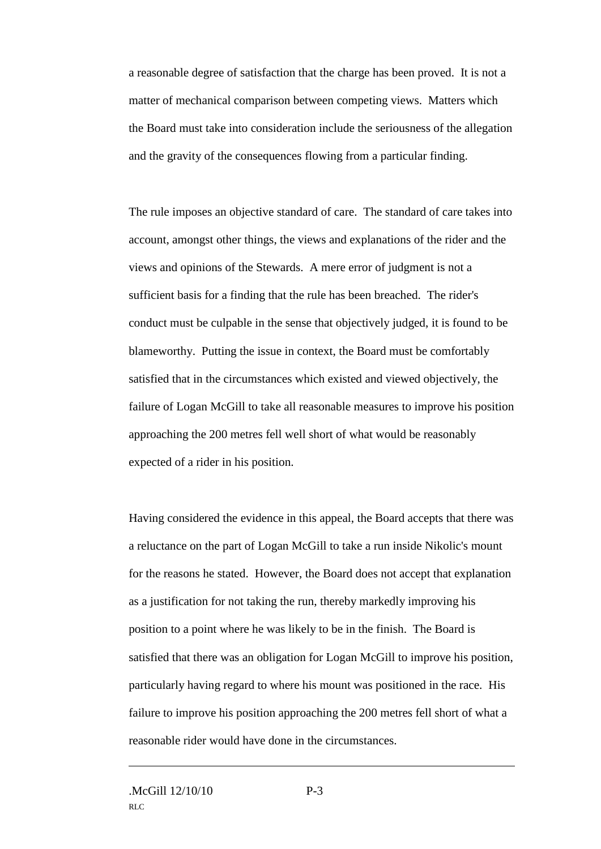a reasonable degree of satisfaction that the charge has been proved. It is not a matter of mechanical comparison between competing views. Matters which the Board must take into consideration include the seriousness of the allegation and the gravity of the consequences flowing from a particular finding.

The rule imposes an objective standard of care. The standard of care takes into account, amongst other things, the views and explanations of the rider and the views and opinions of the Stewards. A mere error of judgment is not a sufficient basis for a finding that the rule has been breached. The rider's conduct must be culpable in the sense that objectively judged, it is found to be blameworthy. Putting the issue in context, the Board must be comfortably satisfied that in the circumstances which existed and viewed objectively, the failure of Logan McGill to take all reasonable measures to improve his position approaching the 200 metres fell well short of what would be reasonably expected of a rider in his position.

Having considered the evidence in this appeal, the Board accepts that there was a reluctance on the part of Logan McGill to take a run inside Nikolic's mount for the reasons he stated. However, the Board does not accept that explanation as a justification for not taking the run, thereby markedly improving his position to a point where he was likely to be in the finish. The Board is satisfied that there was an obligation for Logan McGill to improve his position, particularly having regard to where his mount was positioned in the race. His failure to improve his position approaching the 200 metres fell short of what a reasonable rider would have done in the circumstances.